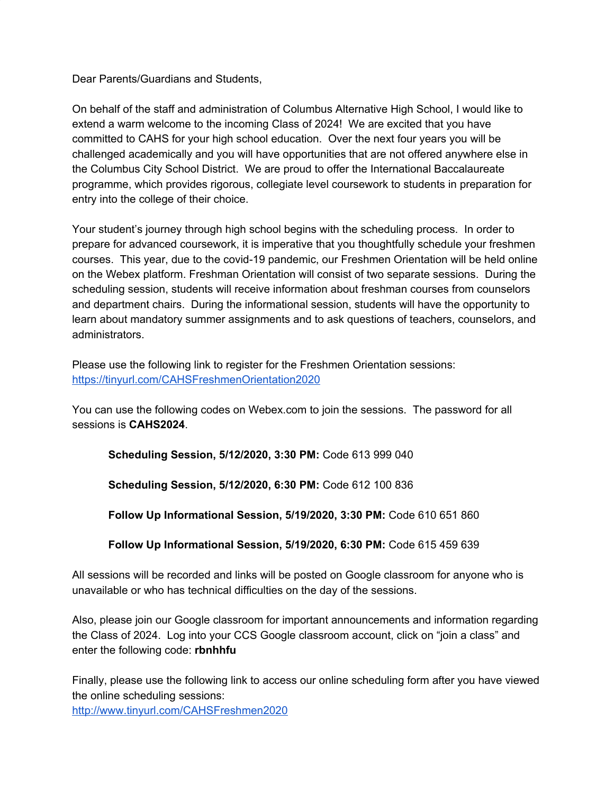Dear Parents/Guardians and Students,

On behalf of the staff and administration of Columbus Alternative High School, I would like to extend a warm welcome to the incoming Class of 2024! We are excited that you have committed to CAHS for your high school education. Over the next four years you will be challenged academically and you will have opportunities that are not offered anywhere else in the Columbus City School District. We are proud to offer the International Baccalaureate programme, which provides rigorous, collegiate level coursework to students in preparation for entry into the college of their choice.

Your student's journey through high school begins with the scheduling process. In order to prepare for advanced coursework, it is imperative that you thoughtfully schedule your freshmen courses. This year, due to the covid-19 pandemic, our Freshmen Orientation will be held online on the Webex platform. Freshman Orientation will consist of two separate sessions. During the scheduling session, students will receive information about freshman courses from counselors and department chairs. During the informational session, students will have the opportunity to learn about mandatory summer assignments and to ask questions of teachers, counselors, and administrators.

Please use the following link to register for the Freshmen Orientation sessions: <https://tinyurl.com/CAHSFreshmenOrientation2020>

You can use the following codes on Webex.com to join the sessions. The password for all sessions is **CAHS2024**.

**Scheduling Session, 5/12/2020, 3:30 PM:** Code 613 999 040

**Scheduling Session, 5/12/2020, 6:30 PM:** Code 612 100 836

**Follow Up Informational Session, 5/19/2020, 3:30 PM:** Code 610 651 860

**Follow Up Informational Session, 5/19/2020, 6:30 PM:** Code 615 459 639

All sessions will be recorded and links will be posted on Google classroom for anyone who is unavailable or who has technical difficulties on the day of the sessions.

Also, please join our Google classroom for important announcements and information regarding the Class of 2024. Log into your CCS Google classroom account, click on "join a class" and enter the following code: **rbnhhfu**

Finally, please use the following link to access our online scheduling form after you have viewed the online scheduling sessions:

<http://www.tinyurl.com/CAHSFreshmen2020>